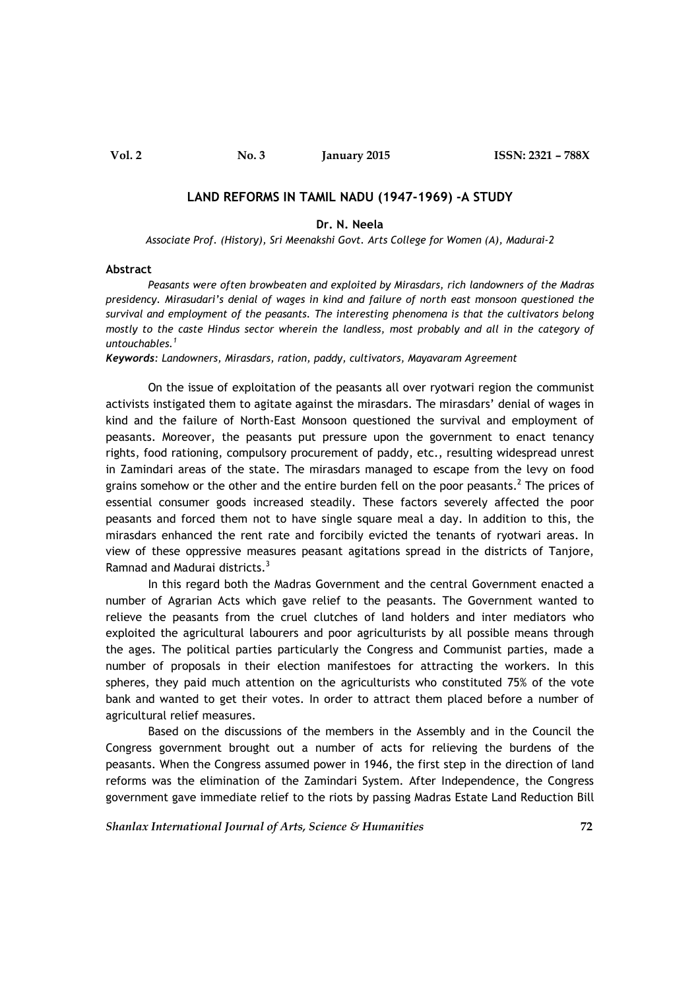## **LAND REFORMS IN TAMIL NADU (1947-1969) -A STUDY**

## **Dr. N. Neela**

*Associate Prof. (History), Sri Meenakshi Govt. Arts College for Women (A), Madurai-2*

## **Abstract**

*Peasants were often browbeaten and exploited by Mirasdars, rich landowners of the Madras presidency. Mirasudari's denial of wages in kind and failure of north east monsoon questioned the survival and employment of the peasants. The interesting phenomena is that the cultivators belong mostly to the caste Hindus sector wherein the landless, most probably and all in the category of untouchables.<sup>1</sup>*

*Keywords: Landowners, Mirasdars, ration, paddy, cultivators, Mayavaram Agreement*

On the issue of exploitation of the peasants all over ryotwari region the communist activists instigated them to agitate against the mirasdars. The mirasdars' denial of wages in kind and the failure of North-East Monsoon questioned the survival and employment of peasants. Moreover, the peasants put pressure upon the government to enact tenancy rights, food rationing, compulsory procurement of paddy, etc., resulting widespread unrest in Zamindari areas of the state. The mirasdars managed to escape from the levy on food grains somehow or the other and the entire burden fell on the poor peasants.<sup>2</sup> The prices of essential consumer goods increased steadily. These factors severely affected the poor peasants and forced them not to have single square meal a day. In addition to this, the mirasdars enhanced the rent rate and forcibily evicted the tenants of ryotwari areas. In view of these oppressive measures peasant agitations spread in the districts of Tanjore, Ramnad and Madurai districts.<sup>3</sup>

In this regard both the Madras Government and the central Government enacted a number of Agrarian Acts which gave relief to the peasants. The Government wanted to relieve the peasants from the cruel clutches of land holders and inter mediators who exploited the agricultural labourers and poor agriculturists by all possible means through the ages. The political parties particularly the Congress and Communist parties, made a number of proposals in their election manifestoes for attracting the workers. In this spheres, they paid much attention on the agriculturists who constituted 75% of the vote bank and wanted to get their votes. In order to attract them placed before a number of agricultural relief measures.

Based on the discussions of the members in the Assembly and in the Council the Congress government brought out a number of acts for relieving the burdens of the peasants. When the Congress assumed power in 1946, the first step in the direction of land reforms was the elimination of the Zamindari System. After Independence, the Congress government gave immediate relief to the riots by passing Madras Estate Land Reduction Bill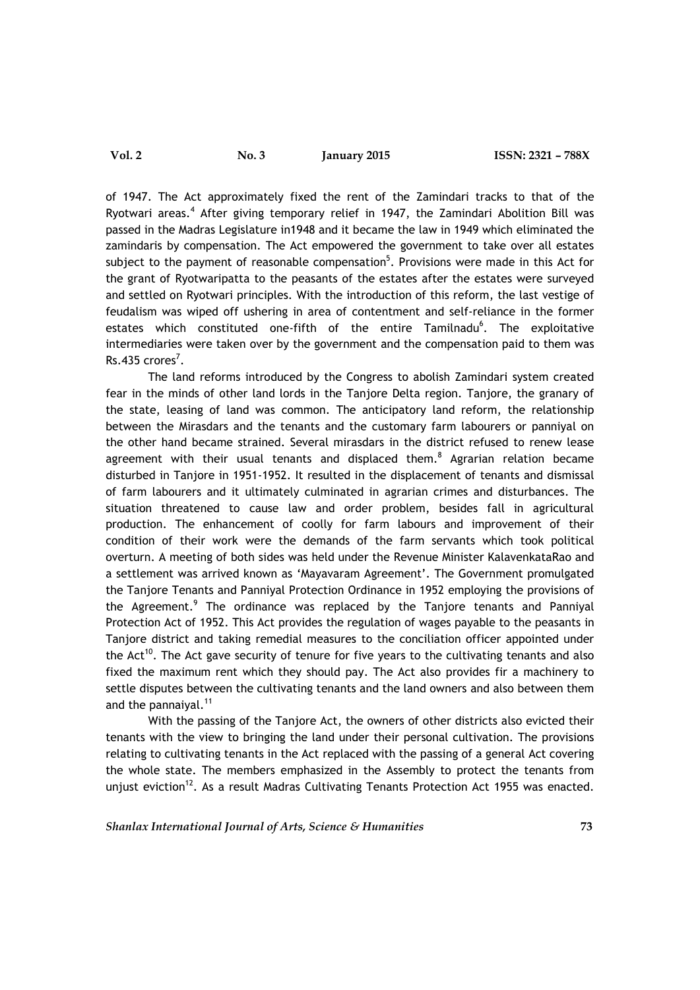of 1947. The Act approximately fixed the rent of the Zamindari tracks to that of the Ryotwari areas.<sup>4</sup> After giving temporary relief in 1947, the Zamindari Abolition Bill was passed in the Madras Legislature in1948 and it became the law in 1949 which eliminated the zamindaris by compensation. The Act empowered the government to take over all estates subject to the payment of reasonable compensation<sup>5</sup>. Provisions were made in this Act for the grant of Ryotwaripatta to the peasants of the estates after the estates were surveyed and settled on Ryotwari principles. With the introduction of this reform, the last vestige of feudalism was wiped off ushering in area of contentment and self-reliance in the former estates which constituted one-fifth of the entire Tamilnadu<sup>6</sup>. The exploitative intermediaries were taken over by the government and the compensation paid to them was  $Rs.435$  crores<sup>7</sup>.

The land reforms introduced by the Congress to abolish Zamindari system created fear in the minds of other land lords in the Tanjore Delta region. Tanjore, the granary of the state, leasing of land was common. The anticipatory land reform, the relationship between the Mirasdars and the tenants and the customary farm labourers or panniyal on the other hand became strained. Several mirasdars in the district refused to renew lease agreement with their usual tenants and displaced them. $8$  Agrarian relation became disturbed in Tanjore in 1951-1952. It resulted in the displacement of tenants and dismissal of farm labourers and it ultimately culminated in agrarian crimes and disturbances. The situation threatened to cause law and order problem, besides fall in agricultural production. The enhancement of coolly for farm labours and improvement of their condition of their work were the demands of the farm servants which took political overturn. A meeting of both sides was held under the Revenue Minister KalavenkataRao and a settlement was arrived known as 'Mayavaram Agreement'. The Government promulgated the Tanjore Tenants and Panniyal Protection Ordinance in 1952 employing the provisions of the Agreement.<sup>9</sup> The ordinance was replaced by the Tanjore tenants and Panniyal Protection Act of 1952. This Act provides the regulation of wages payable to the peasants in Tanjore district and taking remedial measures to the conciliation officer appointed under the Act<sup>10</sup>. The Act gave security of tenure for five years to the cultivating tenants and also fixed the maximum rent which they should pay. The Act also provides fir a machinery to settle disputes between the cultivating tenants and the land owners and also between them and the pannaiyal.<sup>11</sup>

With the passing of the Tanjore Act, the owners of other districts also evicted their tenants with the view to bringing the land under their personal cultivation. The provisions relating to cultivating tenants in the Act replaced with the passing of a general Act covering the whole state. The members emphasized in the Assembly to protect the tenants from unjust eviction<sup>12</sup>. As a result Madras Cultivating Tenants Protection Act 1955 was enacted.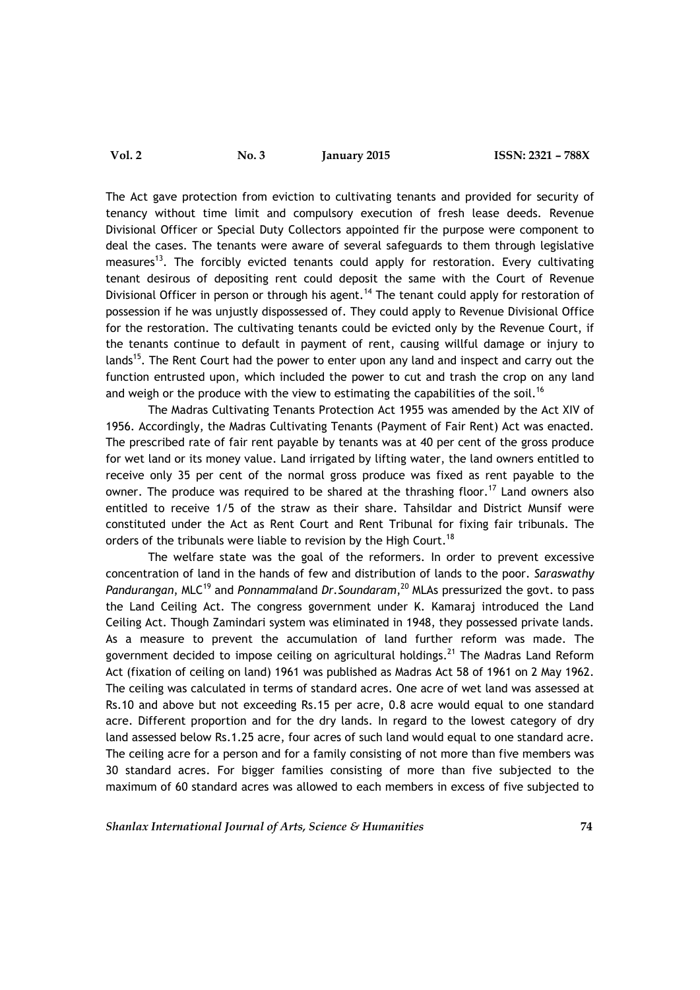The Act gave protection from eviction to cultivating tenants and provided for security of tenancy without time limit and compulsory execution of fresh lease deeds. Revenue Divisional Officer or Special Duty Collectors appointed fir the purpose were component to deal the cases. The tenants were aware of several safeguards to them through legislative measures<sup>13</sup>. The forcibly evicted tenants could apply for restoration. Every cultivating tenant desirous of depositing rent could deposit the same with the Court of Revenue Divisional Officer in person or through his agent.<sup>14</sup> The tenant could apply for restoration of possession if he was unjustly dispossessed of. They could apply to Revenue Divisional Office for the restoration. The cultivating tenants could be evicted only by the Revenue Court, if the tenants continue to default in payment of rent, causing willful damage or injury to lands<sup>15</sup>. The Rent Court had the power to enter upon any land and inspect and carry out the function entrusted upon, which included the power to cut and trash the crop on any land and weigh or the produce with the view to estimating the capabilities of the soil.<sup>16</sup>

The Madras Cultivating Tenants Protection Act 1955 was amended by the Act XIV of 1956. Accordingly, the Madras Cultivating Tenants (Payment of Fair Rent) Act was enacted. The prescribed rate of fair rent payable by tenants was at 40 per cent of the gross produce for wet land or its money value. Land irrigated by lifting water, the land owners entitled to receive only 35 per cent of the normal gross produce was fixed as rent payable to the owner. The produce was required to be shared at the thrashing floor.<sup>17</sup> Land owners also entitled to receive 1/5 of the straw as their share. Tahsildar and District Munsif were constituted under the Act as Rent Court and Rent Tribunal for fixing fair tribunals. The orders of the tribunals were liable to revision by the High Court.<sup>18</sup>

The welfare state was the goal of the reformers. In order to prevent excessive concentration of land in the hands of few and distribution of lands to the poor. *Saraswathy* Pandurangan, MLC<sup>19</sup> and Ponnammaland Dr. Soundaram, <sup>20</sup> MLAs pressurized the govt. to pass the Land Ceiling Act. The congress government under K. Kamaraj introduced the Land Ceiling Act. Though Zamindari system was eliminated in 1948, they possessed private lands. As a measure to prevent the accumulation of land further reform was made. The government decided to impose ceiling on agricultural holdings.<sup>21</sup> The Madras Land Reform Act (fixation of ceiling on land) 1961 was published as Madras Act 58 of 1961 on 2 May 1962. The ceiling was calculated in terms of standard acres. One acre of wet land was assessed at Rs.10 and above but not exceeding Rs.15 per acre, 0.8 acre would equal to one standard acre. Different proportion and for the dry lands. In regard to the lowest category of dry land assessed below Rs.1.25 acre, four acres of such land would equal to one standard acre. The ceiling acre for a person and for a family consisting of not more than five members was 30 standard acres. For bigger families consisting of more than five subjected to the maximum of 60 standard acres was allowed to each members in excess of five subjected to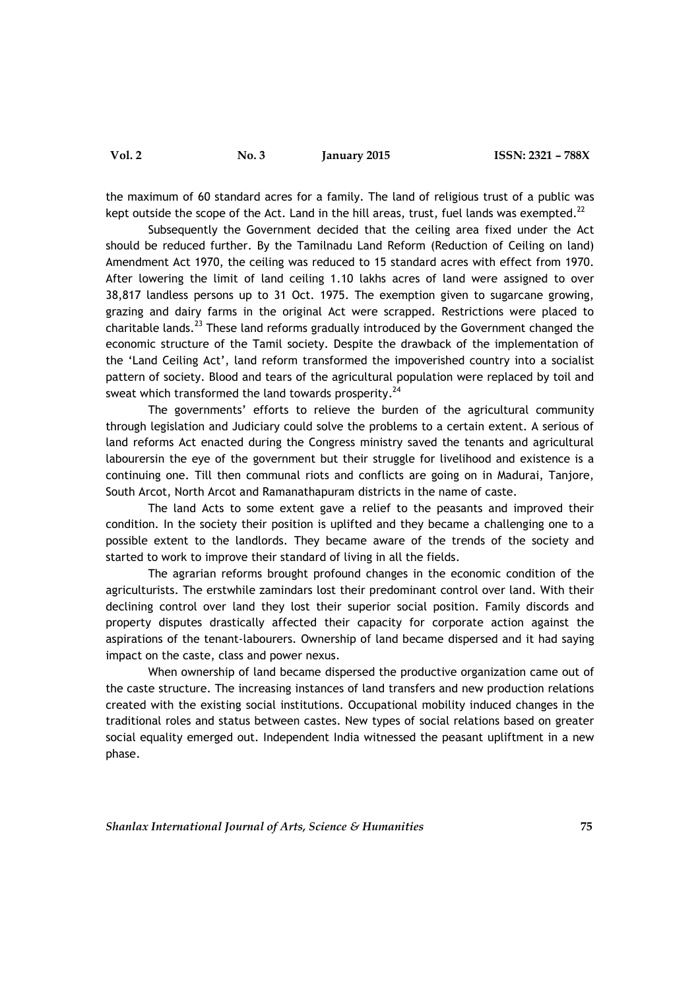the maximum of 60 standard acres for a family. The land of religious trust of a public was kept outside the scope of the Act. Land in the hill areas, trust, fuel lands was exempted. $^{22}$ 

Subsequently the Government decided that the ceiling area fixed under the Act should be reduced further. By the Tamilnadu Land Reform (Reduction of Ceiling on land) Amendment Act 1970, the ceiling was reduced to 15 standard acres with effect from 1970. After lowering the limit of land ceiling 1.10 lakhs acres of land were assigned to over 38,817 landless persons up to 31 Oct. 1975. The exemption given to sugarcane growing, grazing and dairy farms in the original Act were scrapped. Restrictions were placed to charitable lands.<sup>23</sup> These land reforms gradually introduced by the Government changed the economic structure of the Tamil society. Despite the drawback of the implementation of the 'Land Ceiling Act', land reform transformed the impoverished country into a socialist pattern of society. Blood and tears of the agricultural population were replaced by toil and sweat which transformed the land towards prosperity. $^{24}$ 

The governments' efforts to relieve the burden of the agricultural community through legislation and Judiciary could solve the problems to a certain extent. A serious of land reforms Act enacted during the Congress ministry saved the tenants and agricultural labourersin the eye of the government but their struggle for livelihood and existence is a continuing one. Till then communal riots and conflicts are going on in Madurai, Tanjore, South Arcot, North Arcot and Ramanathapuram districts in the name of caste.

The land Acts to some extent gave a relief to the peasants and improved their condition. In the society their position is uplifted and they became a challenging one to a possible extent to the landlords. They became aware of the trends of the society and started to work to improve their standard of living in all the fields.

The agrarian reforms brought profound changes in the economic condition of the agriculturists. The erstwhile zamindars lost their predominant control over land. With their declining control over land they lost their superior social position. Family discords and property disputes drastically affected their capacity for corporate action against the aspirations of the tenant-labourers. Ownership of land became dispersed and it had saying impact on the caste, class and power nexus.

When ownership of land became dispersed the productive organization came out of the caste structure. The increasing instances of land transfers and new production relations created with the existing social institutions. Occupational mobility induced changes in the traditional roles and status between castes. New types of social relations based on greater social equality emerged out. Independent India witnessed the peasant upliftment in a new phase.